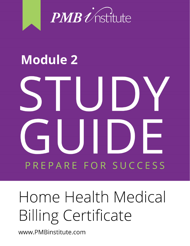

# **Module 2**E I  $\mathcal{L}$ ▋ PREPARE FOR SUCCESS

# Home Health Medical **Billing Certificate**

www.PMBinstitute.com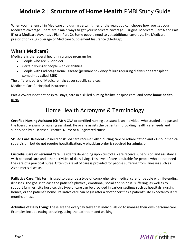When you first enroll in Medicare and during certain times of the year, you can choose how you get your Medicare coverage. There are 2 main ways to get your Medicare coverage—Original Medicare (Part A and Part B) or a Medicare Advantage Plan (Part C). Some people need to get additional coverage, like Medicare prescription drug coverage or Medicare Supplement Insurance (Medigap).

#### **What's Medicare?**

Medicare is the federal health insurance program for:

- People who are 65 or older
- Certain younger people with disabilities
- People with End-Stage Renal Disease (permanent kidney failure requiring dialysis or a transplant, sometimes called ESRD)

The different parts of Medicare help cover specific services:

Medicare Part A (Hospital Insurance)

Part A covers inpatient hospital stays, care in a skilled nursing facility, hospice care, and some **home health care.**

### Home Health Acronyms & Terminology

**Certified Nursing Assistant (CNA)**: A CNA or certified nursing assistant is an individual who studied and passed the licensure exam for nursing assistant. He or she assists the patients in providing health care needs and supervised by a Licensed Practical Nurse or a Registered Nurse.

**Skilled Care**: Residents in need of skilled care receive skilled nursing care or rehabilitation and 24-hour medical supervision, but do not require hospitalization. A physician order is required for admission.

**Custodial Care or Personal Care**: Residents depending upon custodial care receive supervision and assistance with personal care and other activities of daily living. This level of care is suitable for people who do not need the care of a practical nurse. Often this level of care is provided for people suffering from illnesses such as Alzheimer's disease.

**Palliative Care:** This term is used to describe a type of comprehensive medical care for people with life-ending illnesses. The goal is to ease the patient's physical, emotional, social and spiritual suffering, as well as to support families. Like hospice, this type of care can be provided in various settings such as hospitals, nursing homes, or the patient's home. Palliative care can begin after a doctor certifies a patient's life expectancy is six months or less.

**Activities of Daily Living:** These are the everyday tasks that individuals do to manage their own personal care. Examples include eating, dressing, using the bathroom and walking.

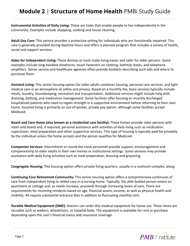**Instrumental Activities of Daily Living:** These are tasks that enable people to live independently in the community. Examples include shopping, cooking and house cleaning.

**Adult Day Care:** This service provides a protective setting for individuals who are functionally impaired. This care is generally provided during daytime hours and offers a planned program that includes a variety of health, social and support services.

**Aides for Independent Living:** These devices or tools make living easier and safer for older persons. Some examples include long-handled shoehorns, touch fasteners on clothing, bathtub stools, and telephone amplifiers. Senior service and healthcare agencies often provide booklets describing such aids and where to purchase them.

**Assisted Living:** This senior housing option for older adults combines housing, personal care services, and light medical care in an atmosphere of safety and privacy. Based on a monthly fee, basic services typically include meals, laundry, housekeeping, recreation and transportation. Additional services might include help with dressing, bathing, and medication management. Some facilities offer housing to recently discharged hospitalized patients who need to regain strength in a supportive environment before returning to their own home. Assisted living is primarily an out-of-pocket, private pay option, although some facilities accept Medicaid.

**Board and Care Home (also known as a residential care facility):** These homes provide older persons with room and board and, if required, personal assistance with activities of daily living such as medication supervision, meal preparation and other supportive services. This type of housing is typically paid for privately by the individual unless the home accepts and the person qualifies for Medicaid.

**Companion Services:** Intermittent or round-the-clock personnel provide support, encouragement and companionship to older adults in their own homes or institutional settings. Some services may provide assistance with daily living activities such as meal preparation, dressing and grooming.

**Congregate Housing:** This housing option offers private living quarters, usually in a multiunit complex, along

**Continuing Care Retirement Community:** This senior housing option offers a comprehensive continuum of care from independent living to skilled care in a nursing home. Typically, the able-bodied person enters an apartment or cottage and, as needs increase, proceeds through increasing levels of care. There are requirements for incoming residents based on age, financial assets, income, as well as physical health and mobility. All require substantial entrance fees in addition to fluctuating monthly rent.

**Durable Medical Equipment (DME):** Doctors can order this medical equipment for home use. These items are reusable such as walkers, wheelchairs, or hospital beds. The equipment is available for rent or purchase depending upon the user's financial status and insurance coverage.

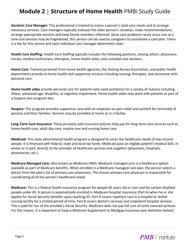**Geriatric Care Manager:** This professional is trained to assess a person's total-care needs and to arrange necessary services. Care managers typically evaluate the older person's situation, make recommendations, arrange appropriate services and keep family members informed. Since care problems rarely occur one at a time and services may be fragmented, this service can be used by caregivers to coordinate a care plan. There is a fee for this service and each individual care manager determines rates.

**Health Care Staffing:** Health Care Staffing typically includes the following positions, among others: physicians, nurses, medical technicians, therapists, home health aides, and custodial care workers.

**Home Care:** Trained personnel from home-health agencies, the Visiting Nurses Association, and public health departments provide in-home health and supportive services including nursing, therapies, and assistance with personal care.

**Home health aides** provide personal care for patients who need assistance for a variety of reasons including illness, advanced age, disability, or cognitive impairment. Home health aides may work with patients as part of a hospice care program also.

**Hospice:** This program provides supportive care with an emphasis on pain relief and comfort for terminally ill persons and their families. Services may be provided at home or in a facility.

**Long-Term Care Insurance:** These privately sold insurance policies help pay for long-term care services such as home-health care, adult day care, respite care and nursing home care.

**Medicaid:** This state administered health program is designed to cover the healthcare needs of low-income people. It is financed with federal, state and local tax funds. Medicaid pays an eligible patient's medical bills, in whole or in part, directly to the provider of healthcare services and suppliers (physicians, hospitals, pharmacists, etc.).

**Medicare Managed Care:** Also known as Medicare HMO, Medicare managed care is a healthcare option available as part of Medicare benefits. When enrolled in a Medicare managed care plan, the person selects a doctor from the plan's list of primary care physicians. The chosen primary care physician is responsible for coordinating all of the person's healthcare needs.

**Medicare:** This is a federal health insurance program for people 65 years old or over and for certain disabled people under 65. A person is automatically enrolled in Medicare hospital insurance (Part A) when he or she applies for Social Security benefits upon reaching 65. Part A covers inpatient care in a hospital or skilled nursing facility for a limited period of time. Part B covers doctor's services and outpatient hospital services. This is paid for out of the enrollee's Social Security. Medicare does not pay full cost of some covered services. For this reason, it is important to have a Medicare Supplement or Medigap insurance (see definition below).

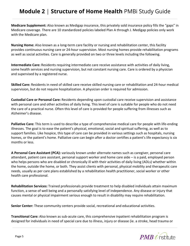**Medicare Supplement:** Also known as Medigap insurance, this privately sold insurance policy fills the "gaps" in Medicare coverage. There are 10 standardized policies labeled Plan A through J. Medigap policies only work with the Medicare plan.

**Nursing Home:** Also known as a long-term care facility or nursing and rehabilitation center, this facility provides continuous nursing care or 24-hour supervision. Most nursing homes provide rehabilitation programs as well as social activities. Care is generally provided on two or three levels including the following.

**Intermediate Care:** Residents requiring intermediate care receive assistance with activities of daily living, some health services and nursing supervision, but not constant nursing care. Care is ordered by a physician and supervised by a registered nurse.

**Skilled Care:** Residents in need of skilled care receive skilled nursing care or rehabilitation and 24-hour medical supervision, but do not require hospitalization. A physician order is required for admission.

**Custodial Care or Personal Care:** Residents depending upon custodial care receive supervision and assistance with personal care and other activities of daily living. This level of care is suitable for people who do not need the care of a practical nurse. Often this level of care is provided for people suffering from illnesses such as Alzheimer's disease.

**Palliative Care:** This term is used to describe a type of comprehensive medical care for people with life-ending illnesses. The goal is to ease the patient's physical, emotional, social and spiritual suffering, as well as to support families. Like hospice, this type of care can be provided in various settings such as hospitals, nursing homes, or the patient's home. Palliative care can begin after a doctor certifies a patient's life expectancy is six months or less.

**A Personal Care Assistant (PCA):** variously known under alternate names such as caregiver, personal care attendant, patient care assistant, personal support worker and home care aide – is a paid, employed person who helps persons who are disabled or chronically ill with their activities of daily living (ADLs) whether within the home, outside the home, or both. They assist clients with personal, physical mobility and therapeutic care needs, usually as per care plans established by a rehabilitation health practitioner, social worker or other health care professional.

**Rehabilitation Services:** Trained professionals provide treatment to help disabled individuals attain maximum function, a sense of well being and a personally satisfying level of independence. Any disease or injury that causes mental or physical impairment serious enough to result in disability may require rehabilitation.

**Senior Center:** These community centers provide social, recreational and educational activities.

**Transitional Care:** Also known as sub-acute care, this comprehensive inpatient rehabilitation program is designed for individuals in need of special care due to illness, injury or disease (ie. a stroke, head trauma or

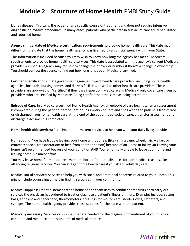kidney disease). Typically, the patient has a specific course of treatment and does not require intensive diagnostic or invasive procedures. In many cases, patients who participate in sub-acute care are rehabilitated and returned home.

**Agency's initial date of Medicare certification:** requirements to provide home health care. This date may differ from the date that the home health agency was licensed by an official agency within your State.

This information is included because you may wish to know how long the agency has met all Medicare requirements to provide home health care services. This date is associated with the agency's current Medicare provider number. An agency may request to change their provider number if there's a change in ownership. You should contact the agency to find out how long it has been Medicare certified.

**Certified (Certification):** State government agencies inspect health care providers, including home health agencies, hospitals, nursing homes, and dialysis facilities, as well as other health care providers. These providers are approved or "certified" if they pass inspection. Medicare and Medicaid only cover care given by providers who are certified by Medicare. Being certified isn't the same as being accredited.

**Episode of Care:** In a Medicare certified Home Health Agency, an episode of care begins when an assessment is completed during the patient Start of Care or Resumption of Care and ends when the patient is transferred or discharged from home health care. At the end of the patient's episode of care, a transfer assessment or a discharge assessment is completed.

**Home health aide services:** Part time or intermittent services to help you with your daily living activities.

**Homebound:** You have trouble leaving your home without help (like using a cane, wheelchair, walker, or crutches; special transportation; or help from another person) because of an illness or injury **OR** Leaving your home isn't recommended because of your condition **AND** You're normally unable to leave your home and leaving home is a major effort

You may leave home for medical treatment or short, infrequent absences for non-medical reasons, like attending religious services. You can still get home health care if you attend adult day care.

**Medical social services:** Services to help you with social and emotional concerns related to your illness. This might include counseling or help in finding resources in your community.

**Medical supplies:** Essential items that the home health team uses to conduct home visits or to carry out services the physician has ordered to treat or diagnose a patient's illness or injury. Examples include: cotton balls, adhesive and paper tape, thermometers, dressings for wound care, sterile gloves, catheters, and syringes. The home health agency provides these supplies for their use with the patient.

**Medically necessary:** Services or supplies that are needed for the diagnosis or treatment of your medical condition and meet accepted standards of medical practice.

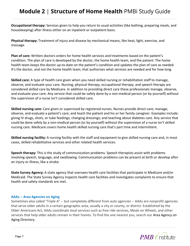**Occupational therapy:** Services given to help you return to usual activities (like bathing, preparing meals, and housekeeping) after illness either on an inpatient or outpatient basis.

**Physical therapy:** Treatment of injury and disease by mechanical means, like heat, light, exercise, and massage.

**Plan of care:** Written doctors orders for home health services and treatments based on the patient's condition. The plan of care is developed by the doctor, the home health team, and the patient. The home health team keeps the doctor up-to-date on the patient's condition and updates the plan of care as needed. It's the doctor, and not the home health team, that authorizes what services are needed and for how long.

**Skilled care:** A type of health care given when you need skilled nursing or rehabilitation staff to manage, observe, and evaluate your care. Nursing, physical therapy, occupational therapy, and speech therapy are considered skilled care by Medicare. In addition to providing direct care these professionals manage, observe, and evaluate your care. Any service that could be safely done by a non-medical person (or by yourself) without the supervision of a nurse isn't considered skilled care.

**Skilled nursing care:** Care given or supervised by registered nurses. Nurses provide direct care; manage, observe, and evaluate a patient's care; and teach the patient and his or her family caregiver. Examples include: giving IV drugs, shots, or tube feedings; changing dressings; and teaching about diabetes care. Any service that could be done safely by a non-medical person (or by yourself) without the supervision of a nurse isn't skilled nursing care. Medicare covers home health skilled nursing care that's part time and intermittent.

**Skilled nursing facility:** A nursing facility with the staff and equipment to give skilled nursing care and, in most cases, skilled rehabilitative services and other related health services.

**Speech therapy:** This is the study of communication problems. Speech therapists assist with problems involving speech, language, and swallowing. Communication problems can be present at birth or develop after an injury or illness, like a stroke.

**State Survey Agency:** A state agency that oversees health care facilities that participate in Medicare and/or Medicaid. The State Survey Agency inspects health care facilities and investigates complaints to ensure that health and safety standards are met.

#### **AAAs -- Area Agencies on Aging**

Sometimes also called "Triple A" -- but completely different from auto agencies -- AAAs are nonprofit agencies that serve older adults in a certain geographic area, usually a city or county, or district. Established by the Older Americans Act, AAAs coordinate local services such as free ride services, Meals on Wheels, and other services that help older adults remain in their homes. To find the one nearest you, search our Area Agency on Aging Directory.

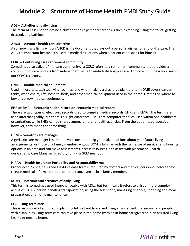#### **ADL -- Activities of daily living**

The term ADLs is used to define a cluster of basic personal care tasks such as feeding, using the toilet, getting dressed, and bathing.

#### **AHCD -- Advance health care directive**

Also known as a living will, an AHCD is the document that lays out a person's wishes for end-of-life care. The AHCD is important because it's used in medical situations when a patient can't speak for himself.

#### **CCRC -- Continuing care retirement community**

Sometimes also called a "life-care community," a CCRC refers to a retirement community that provides a continuum of care options from independent living to end-of-life hospice care. To find a CCRC near you, search our CCRC Directory.

#### **DME -- Durable medical equipment**

Used in hospitals, assisted living facilities, and when making a discharge plan, the term DME covers oxygen tanks, wheelchairs, lifts, hospital beds, and other medical equipment used in the home. Get tips on where to buy or borrow medical equipment.

#### **EHR or EMR -- Electronic health record or electronic medical record**

There are two types of electronic records used to compile medical records: EHRs and EMRs. The terms are used interchangeably, but there's a slight difference. EMRs are computerized files used within one healthcare organization, while EHRs can be shared among different health agencies. From the patient's perspective, however, they mean the same thing.

#### **GCM -- Geriatric care manager**

A geriatric care manager is someone you consult to help you make decisions about your future living arrangements, or those of a family member. A good GCM is familiar with the full range of services and housing options in an area and can make assessments, access resources, and assist with placement. Search our Geriatric Care Manager Directory to find a GCM near you.

#### **HIPAA -- Health Insurance Portability and Accountability Act**

Pronounced "hippa," a signed HIPAA release form is required by doctors and medical personnel before they'll release medical information to another person, even a close family member.

#### **IADLs -- Instrumental activities of daily living**

This term is sometimes used interchangeably with ADLs, but technically it refers to a list of more complex activities. IADLs include handling transportation, using the telephone, managing finances, shopping and meal preparation, and home maintenance.

#### **LTC -- Long-term care**

This is an umbrella term used in planning future healthcare and living arrangements for seniors and people with disabilities. Long-term care can take place in the home (with an in-home caregiver) or in an assisted living facility or nursing home.

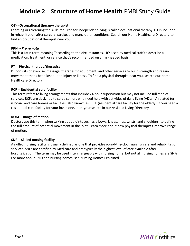#### **OT -- Occupational therapy/therapist**

Learning or relearning the skills required for independent living is called occupational therapy. OT is included in rehabilitation after surgery, stroke, and many other conditions. Search our Home Healthcare Directory to find an occupational therapist near you.

#### **PRN --** *Pro re nata*

This is a Latin term meaning "according to the circumstances." It's used by medical staff to describe a medication, treatment, or service that's recommended on an as-needed basis.

#### **PT -- Physical therapy/therapist**

PT consists of exercise, massage, therapeutic equipment, and other services to build strength and regain movement that's been lost due to injury or illness. To find a physical therapist near you, search our Home Healthcare Directory.

#### **RCF -- Residential care facility**

This term refers to living arrangements that include 24-hour supervision but may not include full medical services. RCFs are designed to serve seniors who need help with activities of daily living (ADLs). A related term is board and care homes or facilities; also known as RCFE (residential care facility for the elderly). If you need a residential care facility for your loved one, start your search in our Assisted Living Directory.

#### **ROM -- Range of motion**

Doctors use this term when talking about joints such as elbows, knees, hips, wrists, and shoulders, to define the full amount of potential movement in the joint. Learn more about how physical therapists improve range of motion.

#### **SNF -- Skilled nursing facility**

A skilled nursing facility is usually defined as one that provides round-the-clock nursing care and rehabilitation services. SNFs are certified by Medicare and are typically the highest level of care available after hospitalization. The term may be used interchangeably with nursing home, but not all nursing homes are SNFs. For more about SNFs and nursing homes, see Nursing Homes Explained.

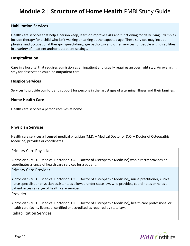#### **Habilitation Services**

Health care services that help a person keep, learn or improve skills and functioning for daily living. Examples include therapy for a child who isn't walking or talking at the expected age. These services may include physical and occupational therapy, speech-language pathology and other services for people with disabilities in a variety of inpatient and/or outpatient settings.

#### **Hospitalization**

Care in a hospital that requires admission as an inpatient and usually requires an overnight stay. An overnight stay for observation could be outpatient care.

#### **Hospice Services**

Services to provide comfort and support for persons in the last stages of a terminal illness and their families.

#### **Home Health Care**

Health care services a person receives at home.

#### **Physician Services**

Health care services a licensed medical physician (M.D. – Medical Doctor or D.O. – Doctor of Osteopathic Medicine) provides or coordinates.

#### Primary Care Physician

A physician (M.D. – Medical Doctor or D.O. – Doctor of Osteopathic Medicine) who directly provides or coordinates a range of health care services for a patient.

#### Primary Care Provider

A physician (M.D. – Medical Doctor or D.O. – Doctor of Osteopathic Medicine), nurse practitioner, clinical nurse specialist or physician assistant, as allowed under state law, who provides, coordinates or helps a patient access a range of health care services.

Provider

A physician (M.D. – Medical Doctor or D.O. – Doctor of Osteopathic Medicine), health care professional or health care facility licensed, certified or accredited as required by state law.

#### Rehabilitation Services

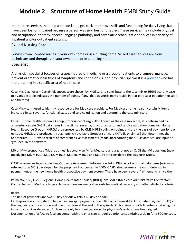Health care services that help a person keep, get back or improve skills and functioning for daily living that have been lost or impaired because a person was sick, hurt or disabled. These services may include physical and occupational therapy, speech-language pathology and psychiatric rehabilitation services in a variety of inpatient and/or outpatient settings.

#### Skilled Nursing Care

Services from licensed nurses in your own home or in a nursing home. Skilled care services are from technicians and therapists in your own home or in a nursing home.

Specialist

A physician specialist focuses on a specific area of medicine or a group of patients to diagnose, manage, prevent or treat certain types of symptoms and conditions. A non-physician specialist is a provider who has more training in a specific area of health care.

Case Mix Diagnoses—Certain diagnoses were chosen by Medicare to contribute to the case mix or HHRG score. A case mix variable table indicates the number of points, if any, that diagnosis may provide in that particular equation (episode and therapy).

Case Mix—term used to identify resource use for Medicare providers. For Medicare home health, certain M items indicate clinical severity, functional status and service utilization and determine the case mix score.

HHRG—Home Health Resource Group (pronounced 'Herg'). Also known as the case mix score, it is determined by answering certain OASIS data items in the clinical severity, functional status and service utilization domains. Home Health Resource Groups (HHRGs) are represented by CMS HIPPS coding on claims and are the basis of payment for each episode. HHRGs are produced through publicly available Grouper software (HAVEN or similar) that determines the appropriate HHRG when results of comprehensive assessments (made incorporating the OASIS data set) are input or 'grouped' in the software.

M0 or M—(pronounced 'Moo' at times) Is actually an M for Medicare and a zero, not an O. Of the M0 questions (now mostly just M), M1010, M1012, M1016, M1020, M1022 and M1024 are considered the diagnosis Moos.

OASIS— agencies began collecting **O**utcome **As**sessment **I**nformation **S**et in1999. A collection of data items (originally referred to as M0s) developed for the purpose of outcomes. In 2000, OASIS also became a means of determining payment under the new home health prospective payment system. There have been several 'refinements' since then.

Palmetto, NGS, CGS —Regional Home Health Intermediary (RHHI), aka MACs (Medicare Administrative Contractors). Contracted with Medicare to pay claims and review medical records for medical necessity and other eligibility criteria

#### Basics

The unit of payments are two 30 day periods within a 60 day episode;

Each episode is anticipated to be paid in two split payments, one billed on a Request for Anticipated Payment (RAP) at the beginning of the episode and one on a claim at the end of the episode; Only claims provide line-items detailing the individual services delivered. A claim can only be submitted once the physician's orders have been signed. Documentation of a face to face encounter with the physician is required prior to submitting a claim for a SOC episode.

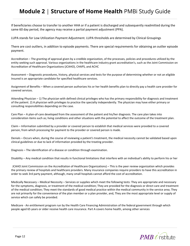If beneficiaries choose to transfer to another HHA or if a patient is discharged and subsequently readmitted during the same 60 day period, the agency may receive a partial payment adjustment (PPA).

LUPA stands for Low Utilization Payment Adjustment. LUPA thresholds are determined by Clinical Groupings

There are cost outliers, in addition to episode payments. There are special requirements for obtaining an outlier episode payment.

Accreditation – The granting of approval given by a credible organization, of the processes, policies and procedures utilized by the entity seeking such approval. Various organizations in the healthcare industry grant accreditation's, such as the Joint Commission on Accreditation of Healthcare Organizations (JCAHO), CHAPS, and ACHC

Assessment – Diagnostic procedures, history, physical services and tests for the purpose of determining whether or not an eligible Insured is an appropriate candidate for specified healthcare services.

Assignment of Benefits – When a covered person authorizes his or her health benefits plan to directly pay a health care provider for covered services.

Attending Physician – 1) The physician with defined clinical privileges who has the primary responsibility for diagnosis and treatment of the patient. 2) A physician with privileges to practice the specialty independently. The physician may have either primary or consulting responsibilities depending on the case.

Care Plan – A plan-of-care developed from the assessment of the patient and his/her diagnosis. The care plan takes into consideration items such as; living conditions and other situations with the potential to affect the outcome of the treatment plan.

Claim – Information submitted by a provider or covered person to establish that medical services were provided to a covered person, from which processing for payment to the provider or covered person is made.

Denials – Occurs when, during the course of reviewing a patient's treatment, the medical necessity cannot be validated based upon clinical guidelines or due to lack of information provided by the treating provider.

Diagnosis – The identification of a disease or condition through examination.

Disability – Any medical condition that results in functional limitations that interfere with an individual's ability to perform his or her

JCAHO Joint Commission on the Accreditation of Healthcare Organizations) – This is the peer review organization which provides the primary review of hospitals and healthcare providers. Many insurance companies require providers to have this accreditation in order to seek 3rd party payment, although, many small hospitals cannot afford the cost of accreditation.

Medically Necessary – Medical Necessity – Services or supplies which meet the following tests: They are appropriate and necessary for the symptoms, diagnosis, or treatment of the medical condition; They are provided for the diagnosis or direct care and treatment of the medical condition; They meet the standards of good medical practice within the medical community in the service area; They are not primarily for the convenience of the plan member or a plan provider, and, They are the most appropriate level or supply of service which can safely be provided.

Medicare - An entitlement program run by the Health Care Financing Administration of the federal government through which people aged 65 years or older receive health care insurance. Part A covers home health, among other services

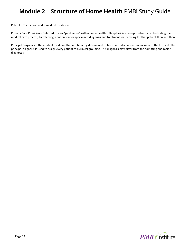Patient – The person under medical treatment.

Primary Care Physician – Referred to as a "gatekeeper" within home health. This physician is responsible for orchestrating the medical care process, by referring a patient on for specialized diagnosis and treatment, or by caring for that patient then and there.

Principal Diagnosis – The medical condition that is ultimately determined to have caused a patient's admission to the hospital. The principal diagnosis is used to assign every patient to a clinical grouping. This diagnosis may differ from the admitting and major diagnoses.

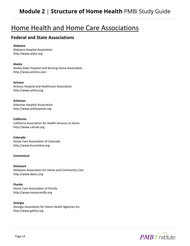## Home Health and Home Care Associations

#### **Federal and State Associations**

#### **Alabama**

Alabama Hospital Association http://www.alaha.org

#### **Alaska**

Alaska State Hospital and Nursing Home Association http://www.ashnha.com

#### **Arizona**

Arizona Hospital and Healthcare Association http://www.azhha.org

#### **Arkansas**

Arkansas Hospital Association http://www.arkhospitals.org

#### **California**

California Association for Health Services at Home http://www.cahsah.org

**Colorado** Home Care Association of Colorado http://www.hcaconline.org

#### **Connecticut**

**Delaware** Delaware Association for Home and Community Care http://www.dahcc.org

**Florida** Home Care Association of Florida http://www.homecarefla.org

#### **Georgia**

Georgia Association for Home Health Agencies Inc. http://www.gahha.org

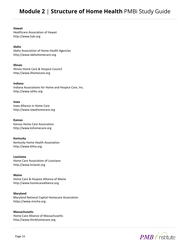**Hawaii** Healthcare Association of Hawaii http://www.hah.org

**Idaho** Idaho Association of Home Health Agencies http://www.idahohomecare.org

**Illinois** Illinois Home Care & Hospice Council http://www.ilhomecare.org

**Indiana** Indiana Associations for Home and Hospice Care, Inc. http://www.iahhc.org

**Iowa** Iowa Alliance in Home Care http://www.iowahomecare.org

**Kansas** Kansas Home Care Association http://www.kshomecare.org

**Kentucky** Kentucky Home Health Association http://www.khha.org

**Louisiana** Home Care Association of Louisiana http://www.hclanet.org

**Maine** Home Care & Hospice Alliance of Maine http://www.homecarealliance.org

**Maryland** Maryland National Capital Homecare Association https://www.mncha.org

**Massachusetts** Home Care Alliance of Massachusetts http://www.thinkhomecare.org

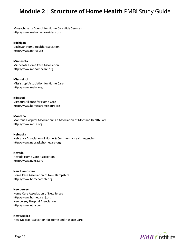Massachusetts Council for Home Care Aide Services http://www.mahomecareaides.com

**Michigan** Michigan Home Health Association http://www.mhha.org

**Minnesota** Minnesota Home Care Association http://www.mnhomecare.org

**Mississippi** Mississippi Association for Home Care http://www.mahc.org

**Missouri** Missouri Alliance for Home Care http://www.homecaremissouri.org

#### **Montana**

Montana Hospital Association: An Association of Montana Health Care http://www.mtha.org

#### **Nebraska**

Nebraska Association of Home & Community Health Agencies http://www.nebraskahomecare.org

**Nevada**

Nevada Home Care Association http://www.nvhca.org

**New Hampshire** Home Care Association of New Hampshire http://www.homecarenh.org

#### **New Jersey**

Home Care Association of New Jersey http://www.homecarenj.org New Jersey Hospital Association http://www.njha.com

**New Mexico** New Mexico Association for Home and Hospice Care

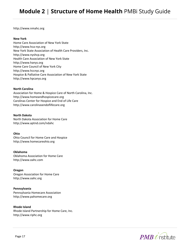http://www.nmahc.org

#### **New York**

Home Care Association of New York State http://www.hca-nys.org New York State Association of Health Care Providers, Inc. http://www.nyshcp.org Health Care Association of New York State http://www.hanys.org Home Care Council of New York City http://www.hccnyc.org Hospice & Palliative Care Association of New York State http://www.hpcanys.org

#### **North Carolina**

Association for Home & Hospice Care of North Carolina, Inc. http://www.homeandhospicecare.org Carolinas Center for Hospice and End of Life Care http://www.carolinasendoflifecare.org

**North Dakota** North Dakota Association for Home Care http://www.aptnd.com/ndahc

#### **Ohio**

Ohio Council for Home Care and Hospice http://www.homecareohio.org

**Oklahoma** Oklahoma Association for Home Care http://www.oahc.com

**Oregon** Oregon Association for Home Care http://www.oahc.org

**Pennsylvania** Pennsylvania Homecare Association http://www.pahomecare.org

**Rhode Island** Rhode Island Partnership for Home Care, Inc. http://www.riphc.org

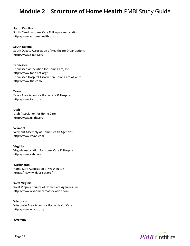#### **South Carolina**

South Carolina Home Care & Hospice Association http://www.schomehealth.org

#### **South Dakota**

South Dakota Association of Healthcare Organizations http://www.sdaho.org

#### **Tennessee**

Tennessee Association for Home Care, Inc. http://www.tahc-net.org/ Tennessee Hospital Association Home Care Alliance http://www.tha.com/

#### **Texas**

Texas Association for Home care & Hospice http://www.tahc.org

#### **Utah**

Utah Association for Home Care http://www.ua4hc.org

#### **Vermont**

Vermont Assembly of Home Health Agencies http://www.vnavt.com

#### **Virginia**

Virginia Association for Home Care & Hospice http://www.vahc.org

**Washington** Home Care Association of Washington https://hcaw.wildapricot.org/

**West Virginia** West Virginia Council of Home Care Agencies, Inc. http://www.wvhomecareassociation.com

#### **Wisconsin**

Wisconsin Association for Home Health Care http://www.wiahc.org/

#### **Wyoming**

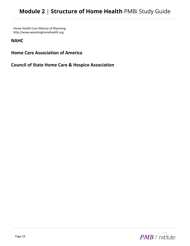Home Health Care Alliance of Wyoming http://www.wyominghomehealth.org

#### **NAHC**

**Home Care Association of America**

**Council of State Home Care & Hospice Association**

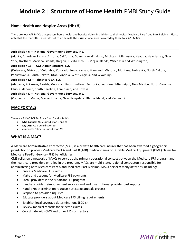#### **Home Health and Hospice Areas (HH+H)**

There are four A/B MACs that process home health and hospice claims in addition to their typical Medicare Part A and Part B claims. Please note that the four HH+H areas do not coincide with the jurisdictional areas covered by these four A/B MACs.

#### **Jurisdiction 6 — National Government Services, Inc.**

(Alaska, American Samoa, Arizona, California, Guam, Hawaii, Idaho, Michigan, Minnesota, Nevada, New Jersey, New York, Northern Mariana Islands, Oregon, Puerto Rico, US Virgin Islands, Wisconsin and Washington)

#### **Jurisdiction 15 — CGS Administrators, LLC**

(Delaware, District of Columbia, Colorado, Iowa, Kansas, Maryland, Missouri, Montana, Nebraska, North Dakota, Pennsylvania, South Dakota, Utah, Virginia, West Virginia, and Wyoming)

#### **Jurisdiction M —Palmetto GBA, LLC**

(Alabama, Arkansas, Florida, Georgia, Illinois, Indiana, Kentucky, Louisiana, Mississippi, New Mexico, North Carolina, Ohio, Oklahoma, South Carolina, Tennessee, and Texas)

#### **Jurisdiction K — National Government Services, Inc.**

(Connecticut, Maine, Massachusetts, New Hampshire, Rhode Island, and Vermont)

#### **MAC PORTALS**

There are 3 MAC PORTALS platform for all 4 MACs:

- **NGS Connex:** NGS (Jurisdiction 6 and K)
- **My CGS:** CGS (Jurisdiction 15)
- **eServices**: Palmetto (Jurisdiction M)

#### **WHAT IS A MAC?**

A Medicare Administrative Contractor (MAC) is a private health care insurer that has been awarded a geographic jurisdiction to process Medicare Part A and Part B (A/B) medical claims or Durable Medical Equipment (DME) claims for Medicare Fee-For-Service (FFS) beneficiaries.

CMS relies on a network of MACs to serve as the primary operational contact between the Medicare FFS program and the healthcare providers enrolled in the program. MACs are multi-state, regional contractors responsible for administering both Medicare Part A and Medicare Part B claims. MACs perform many activities including:

- Process Medicare FFS claims
- Make and account for Medicare FFS payments
- Enroll providers in the Medicare FFS program
- Handle provider reimbursement services and audit institutional provider cost reports
- Handle redetermination requests (1st stage appeals process)
- Respond to provider inquiries
- Educate providers about Medicare FFS billing requirements
- Establish local coverage determinations (LCD's)
- Review medical records for selected claims
- Coordinate with CMS and other FFS contractors

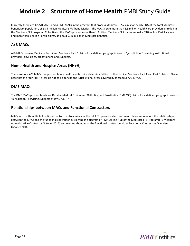Currently there are 12 A/B MACs and 4 DME MACs in the program that process Medicare FFS claims for nearly 68% of the total Medicare beneficiary population, or 38.5 million Medicare FFS beneficiaries. The MACs serve more than 1.5 million health care providers enrolled in the Medicare FFS program. Collectively, the MACs process more than 1.2 billion Medicare FFS claims annually, 218 million Part A claims and more than 1 billion Part B claims, and paid \$386 billion in Medicare benefits.

#### **A/B MACs**

A/B MACs process Medicare Part A and Medicare Part B claims for a defined geographic area or "jurisdiction," servicing institutional providers, physicians, practitioners, and suppliers.

#### **Home Health and Hospice Areas (HH+H)**

There are four A/B MACs that process home health and hospice claims in addition to their typical Medicare Part A and Part B claims. Please note that the four HH+H areas do not coincide with the jurisdictional areas covered by these four A/B MACs.

#### **DME MACs**

The DME MACs process Medicare Durable Medical Equipment, Orthotics, and Prosthetics (DMEPOS) claims for a defined geographic area or "jurisdiction," servicing suppliers of DMEPOS. r

#### **Relationships between MACs and Functional Contractors**

MACs work with multiple functional contractors to administer the full FFS operational environment. Learn more about the relationships between the MACs and the functional contractor by viewing the diagram of MACs: The Hub of the Medicare FFS Program(FFS Medicare Administrative Contractor October 2016) and reading about what the functional contractors do at Functional Contractors Overview October 2016.

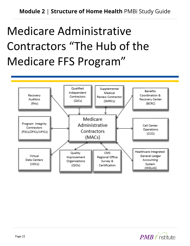## Medicare Administrative Contractors "The Hub of the Medicare FFS Program"



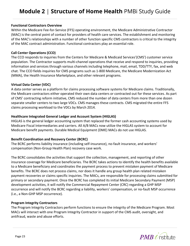#### **Functional Contractors Overview**

Within the Medicare Fee-for-Service (FFS) operating environment, the Medicare Administrative Contractor (MAC) is the central point of contact for providers of health care services. The establishment and monitoring of the MAC's relationships with a number of other function specific CMS contractors is critical to the integrity of the MAC contract administration. Functional contractors play an essential role.

#### **Call Center Operations (CCO)**

The CCO responds to inquiries from the Centers for Medicare & Medicaid Services'(CMS') customer service population. The Contractor supports multi-channel operations that receive and respond to inquiries, providing information and services through various channels including telephone, mail, email, TDD/TTY, fax, and web chat. The CCO fields inquiries for CMS programs such as 1-800 Medicare, the Medicare Modernization Act (MMA), the Health Insurance Marketplace, and other relevant programs.

#### **Virtual Data Center (VDC)**

A data center serves as a platform for claims processing software systems for Medicare claims. Traditionally, the Medicare contractors either operated their own data centers or contracted out for these services. As part of CMS' contracting reform initiative, CMS reduced the number of data centers from more than one dozen separate smaller centers to two large VDCs. CMS manages these contracts. CMS migrated the entire FFS claims processing workload to the VDCs by March 2014.

#### **Healthcare Integrated General Ledger and Account System (HIGLAS)**

HIGLAS is the general ledger accounting system that replaced the former cash accounting systems used by Medicare Fiscal Intermediaries and carriers. All A/B MACs now utilize the HIGLAS system to account for Medicare benefit payments. Durable Medical Equipment (DME) MACs do not use HIGLAS.

#### **Benefit Coordination and Recovery Center (BCRC)**

The BCRC performs liability insurance (including self-insurance), no-fault insurance, and workers' compensation (Non-Group Health Plan) recovery case work.

The BCRC consolidates the activities that support the collection, management, and reporting of other insurance coverage for Medicare beneficiaries. The BCRC takes actions to identify the health benefits available to a Medicare beneficiary and coordinates the payment process to prevent mistaken payment of Medicare benefits. The BCRC does not process claims, nor does it handle any group health plan related mistaken payment recoveries or claims specific inquiries. The MACs, are responsible for processing claims submitted for primary or secondary payment. Once the BCRC has completed its initial Medicare Secondary Payment (MSP) development activities, it will notify the Commercial Repayment Center (CRC) regarding a GHP MSP occurrence and will notify the BCRC regarding a liability, workers' compensation, or no-fault MSP occurrence (i.e., a Non-GHP MSP occurrence).

#### **Program Integrity Contractors**

The Program Integrity Contractors perform functions to ensure the integrity of the Medicare Program. Most MACs will interact with one Program Integrity Contractor in support of the CMS audit, oversight, and antifraud, waste and abuse efforts.

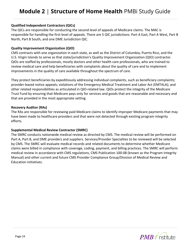#### **Qualified Independent Contractors (QICs)**

The QICs are responsible for conducting the second level of appeals of Medicare claims. The MAC is responsible for handling the first level of appeals. There are 5 QIC jurisdictions: Part A East, Part A West, Part B North, Part B South, and one DME Jurisdiction QIC.

#### **Quality Improvement Organization (QIO)**

CMS contracts with one organization in each state, as well as the District of Columbia, Puerto Rico, and the U.S. Virgin Islands to serve as that state/jurisdiction's Quality Improvement Organization (QIO) contractor. QIOs are staffed by professionals, mostly doctors and other health care professionals, who are trained to review medical care and help beneficiaries with complaints about the quality of care and to implement improvements in the quality of care available throughout the spectrum of care.

They protect beneficiaries by expeditiously addressing individual complaints, such as beneficiary complaints; provider-based notice appeals; violations of the Emergency Medical Treatment and Labor Act (EMTALA); and other related responsibilities as articulated in QIO-related law. QIOs protect the integrity of the Medicare Trust Fund by ensuring that Medicare pays only for services and goods that are reasonable and necessary and that are provided in the most appropriate setting.

#### **Recovery Auditor (RAs)**

The RAs are responsible for reviewing paid Medicare claims to identify improper Medicare payments that may have been made to healthcare providers and that were not detected through existing program integrity efforts.

#### **Supplemental Medical Review Contractor (SMRC)**

The SMRC conducts nationwide medical review as directed by CMS. The medical review will be performed on Part A, Part B, and DME providers and suppliers. Services/Provider Specialties to be reviewed will be selected by CMS. The SMRC will evaluate medical records and related documents to determine whether Medicare claims were billed in compliance with coverage, coding, payment, and billing practices. The SMRC will perform medical review in accordance with CMS regulations, CMS Publication 100-08 (known as the Program Integrity Manual) and other current and future CMS Provider Compliance Group/Division of Medical Review and Education initiatives.

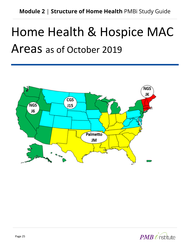## Home Health & Hospice MAC Areas as of October 2019



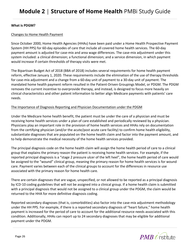#### **What is PDGM?**

#### Changes to Home Health Payment

Since October 2000, Home Health Agencies (HHAs) have been paid under a Home Health Prospective Payment System (HH PPS) for 60-day episodes of care that include all covered home health services. The 60-day payment amount is adjusted for case-mix and area wage differences. The case-mix adjustment under this system included: a clinical dimension; a functional dimension; and a service dimension, in which payment would increase if certain thresholds of therapy visits were met.

The Bipartisan Budget Act of 2018 (BBA of 2018) includes several requirements for home health payment reform, effective January 1, 2020. These requirements include the elimination of the use of therapy thresholds for case-mix adjustment and a change from a 60-day unit of payment to a 30-day unit of payment. The mandated home health payment reform resulted in the Patient-Driven Groupings Model, or PDGM. The PDGM removes the current incentive to overprovide therapy, and instead, is designed to focus more heavily on clinical characteristics and other patient information to better align Medicare payments with patients' care needs.

#### The Importance of Diagnosis Reporting and Physician Documentation under the PDGM

Under the Medicare home health benefit, the patient must be under the care of a physician and must be receiving home health services under a plan of care established and periodically reviewed by a physician. Physicians play an important role in the provision of home health services and HHAs rely on documentation from the certifying physician (and/or the acute/post acute care facility) to confirm home health eligibility, substantiate diagnoses that are populated on the home health claim and factor into the payment amount, and to help demonstrate the medical necessity of the home health services provided.

The principal diagnosis code on the home health claim will assign the home health period of care to a clinical group that explains the primary reason the patient is receiving home health services. For example, if the reported principal diagnosis is a "stage 2 pressure ulcer of the left heel", the home health period of care would be assigned to the "wound" clinical group, meaning the primary reason for home health services is for wound care. Payment varies between each of the clinical groups to account for the differences in resource use associated with the primary reason for home health care.

There are certain diagnoses that are vague, unspecified, or not allowed to be reported as a principal diagnosis by ICD-10 coding guidelines that will not be assigned into a clinical group. If a home health claim is submitted with a principal diagnosis that would not be assigned to a clinical group under the PDGM, the claim would be returned to the HHA for more definitive diagnosis coding.

Reported secondary diagnoses (that is, comorbidities) also factor into the case-mix adjustment methodology under the HH PPS. For example, if there is a reported secondary diagnosis of "heart failure," home health payment is increased for the period of care to account for the additional resource needs associated with this condition. Additionally, HHAs can report up to 24 secondary diagnoses that may be eligible for additional payment under the PDGM.

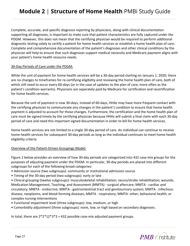Complete, accurate, and specific diagnosis reporting by physicians, along with clinical documentation supporting all diagnoses, is important to make sure that patient characteristics are fully captured under the PDGM. However, this does not mean that the certifying physician would be required to perform additional diagnostic testing solely to certify a patient for home health services or establish a home health plan of care. Complete and comprehensive documentation of the patient's diagnoses and other clinical conditions by the physician will help to ensure that such diagnoses support medical necessity and Medicare payment aligns with your patient's home health resource needs.

#### 30-Day Periods of Care under the PDGM:

While the unit of payment for home health services will be a 30-day period starting on January 1, 2020; there are no changes to timeframes for re-certifying eligibility and reviewing the home health plan of care, both of which still need to occur every 60-days (or in the case of updates to the plan of care, more often as the patient's condition warrants). Physicians are separately paid by Medicare for certification and recertification for home health services.

Because the unit of payment is now 30-days, instead of 60-days, HHAs may have more frequent contact with the certifying physician to communicate any changes in the patient's condition to ensure that home health payment is adjusted to account for those changes. Furthermore, the certification and the home health plan of care must be signed timely by the certifying physician because HHAs will submit a final claim with each 30-day period of care and need this important signed documentation in order to bill for home health services.

Home health services are not limited to a single 30-day period of care. An individual can continue to receive home health services for subsequent 30-day periods as long as the individual continues to meet home health eligibility criteria.

#### Overview of the Patient-Driven Groupings Model:

Figure 1 below provides an overview of how 30-day periods are categorized into 432 case-mix groups for the purposes of adjusting payment under the PDGM. In particular, 30-day periods are placed into different subgroups for each of the following broad categories:

- Admission source (two subgroups): community or institutional admission source
- Timing of the 30-day period (two subgroups): early or late
- Clinical grouping (twelve subgroups): musculoskeletal rehabilitation; neuro/stroke rehabilitation; wounds; Medication Management, Teaching, and Assessment (MMTA) - surgical aftercare; MMTA - cardiac and circulatory; MMTA - endocrine; MMTA - gastrointestinal tract and genitourinary system; MMTA - infectious disease, neoplasms, and blood-forming diseases; MMTA - respiratory; MMTA- other; behavioral health; or complex nursing interventions
- Functional impairment level (three subgroups): low, medium, or high
- Comorbidity adjustment (three subgroups): none, low, or high based on secondary diagnoses.

In total, there are  $2*2*12*3*3 = 432$  possible case-mix adjusted payment groups.

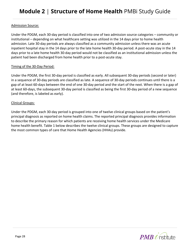#### Admission Source:

Under the PDGM, each 30-day period is classified into one of two admission source categories – community or institutional – depending on what healthcare setting was utilized in the 14 days prior to home health admission. Late 30-day periods are always classified as a community admission unless there was an acute inpatient hospital stay in the 14 days prior to the late home health 30-day period. A post-acute stay in the 14 days prior to a late home health 30-day period would not be classified as an institutional admission unless the patient had been discharged from home health prior to a post-acute stay.

#### Timing of the 30-Day Period:

Under the PDGM, the first 30-day period is classified as early. All subsequent 30-day periods (second or later) in a sequence of 30-day periods are classified as late. A sequence of 30-day periods continues until there is a gap of at least 60-days between the end of one 30-day period and the start of the next. When there is a gap of at least 60-days, the subsequent 30-day period is classified as being the first 30-day period of a new sequence (and therefore, is labeled as early).

#### Clinical Groups:

Under the PDGM, each 30-day period is grouped into one of twelve clinical groups based on the patient's principal diagnosis as reported on home health claims. The reported principal diagnosis provides information to describe the primary reason for which patients are receiving home health services under the Medicare home health benefit. Table 1 below describes the twelve clinical groups. These groups are designed to capture the most common types of care that Home Health Agencies (HHAs) provide.

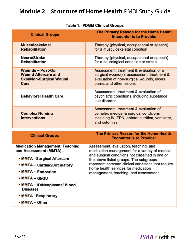| <b>Clinical Groups</b>                                                                   | The Primary Reason for the Home Health<br><b>Encounter is to Provide:</b>                                                                                                                                                                                                         |
|------------------------------------------------------------------------------------------|-----------------------------------------------------------------------------------------------------------------------------------------------------------------------------------------------------------------------------------------------------------------------------------|
| <b>Musculoskeletal</b><br><b>Rehabilitation</b>                                          | Therapy (physical, occupational or speech)<br>for a musculoskeletal condition                                                                                                                                                                                                     |
| Neuro/Stroke<br><b>Rehabilitation</b>                                                    | Therapy (physical, occupational or speech)<br>for a neurological condition or stroke                                                                                                                                                                                              |
| Wounds - Post-Op<br><b>Wound Aftercare and</b><br><b>Skin/Non-Surgical Wound</b><br>Care | Assessment, treatment & evaluation of a<br>surgical wound(s); assessment, treatment &<br>evaluation of non-surgical wounds, ulcers,<br>burns, and other lesions                                                                                                                   |
| <b>Behavioral Health Care</b>                                                            | Assessment, treatment & evaluation of<br>psychiatric conditions, including substance<br>use disorder                                                                                                                                                                              |
| <b>Complex Nursing</b><br><b>Interventions</b>                                           | Assessment, treatment & evaluation of<br>complex medical & surgical conditions<br>including IV, TPN, enteral nutrition, ventilator,<br>and ostomies                                                                                                                               |
| <b>Clinical Groups</b>                                                                   | The Primary Reason for the Home Health<br><b>Encounter is to Provide:</b>                                                                                                                                                                                                         |
| <b>Medication Management, Teaching</b><br>and Assessment (MMTA)--                        | Assessment, evaluation, teaching, and<br>medication management for a variety of medical<br>and surgical conditions not classified in one of<br>the above listed groups. The subgroups<br>represent common clinical conditions that require<br>home health services for medication |
| • MMTA -Surgical Aftercare                                                               |                                                                                                                                                                                                                                                                                   |
| • MMTA - Cardiac/Circulatory                                                             |                                                                                                                                                                                                                                                                                   |
| • MMTA - Endocrine                                                                       | management, teaching, and assessment.                                                                                                                                                                                                                                             |
| · MMTA - GI/GU                                                                           |                                                                                                                                                                                                                                                                                   |
| • MMTA - ID/Neoplasms/ Blood<br><b>Diseases</b>                                          |                                                                                                                                                                                                                                                                                   |
| • MMTA -Respiratory                                                                      |                                                                                                                                                                                                                                                                                   |
| • MMTA - Other                                                                           |                                                                                                                                                                                                                                                                                   |

#### **Table 1: PDGM Clinical Groups**

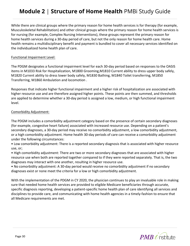While there are clinical groups where the primary reason for home health services is for therapy (for example, Musculoskeletal Rehabilitation) and other clinical groups where the primary reason for home health services is for nursing (for example, Complex Nursing Interventions), these groups represent the primary reason for home health services during a 30-day period of care, but not the only reason for home health care. Home health remains a multidisciplinary benefit and payment is bundled to cover all necessary services identified on the individualized home health plan of care.

#### Functional Impairment Level:

The PDGM designates a functional impairment level for each 30-day period based on responses to the OASIS items in M1033 Risk for Hospitalization, M1800 Grooming,M1810 Current ability to dress upper body safely, M1820 Current ability to dress lower body safely, M1830 Bathing, M1840 Toilet transferring, M1850 Transferring, M1860 Ambulation and locomotion .

Responses that indicate higher functional impairment and a higher risk of hospitalization are associated with higher resource use and are therefore assigned higher points. These points are then summed, and thresholds are applied to determine whether a 30-day period is assigned a low, medium, or high functional impairment level.

#### Comorbidity Adjustment:

The PDGM includes a comorbidity adjustment category based on the presence of certain secondary diagnoses (for example, congestive heart failure) associated with increased resource use. Depending on a patient's secondary diagnoses, a 30-day period may receive no comorbidity adjustment, a low comorbidity adjustment, or a high comorbidity adjustment. Home health 30-day periods of care can receive a comorbidity adjustment under the following circumstances:

• Low comorbidity adjustment: There is a reported secondary diagnosis that is associated with higher resource use, or;

• High comorbidity adjustment: There are two or more secondary diagnoses that are associated with higher resource use when both are reported together compared to if they were reported separately. That is, the two diagnoses may interact with one another, resulting in higher resource use.

• No comorbidity adjustment: A 30-day period would receive no comorbidity adjustment if no secondary diagnoses exist or none meet the criteria for a low or high comorbidity adjustment.

With the implementation of the PDGM in CY 2020, the physician continues to play an invaluable role in making sure that needed home health services are provided to eligible Medicare beneficiaries through accurate, specific diagnosis reporting, developing a patient-specific home health plan of care identifying all services and disciplines to provide care, and communicating with home health agencies in a timely-fashion to ensure that all Medicare requirements are met.